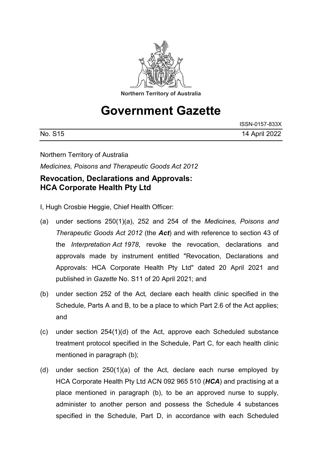

# **Government Gazette**

|         | ISSN-0157-833X |
|---------|----------------|
| No. S15 | 14 April 2022  |

Northern Territory of Australia

*Medicines, Poisons and Therapeutic Goods Act 2012*

# **Revocation, Declarations and Approvals: HCA Corporate Health Pty Ltd**

- I, Hugh Crosbie Heggie, Chief Health Officer:
- (a) under sections 250(1)(a), 252 and 254 of the *Medicines, Poisons and Therapeutic Goods Act 2012* (the *Act*) and with reference to section 43 of the *Interpretation Act 1978*, revoke the revocation, declarations and approvals made by instrument entitled "Revocation, Declarations and Approvals: HCA Corporate Health Pty Ltd" dated 20 April 2021 and published in *Gazette* No. S11 of 20 April 2021; and
- (b) under section 252 of the Act*,* declare each health clinic specified in the Schedule, Parts A and B, to be a place to which Part 2.6 of the Act applies; and
- (c) under section 254(1)(d) of the Act, approve each Scheduled substance treatment protocol specified in the Schedule, Part C, for each health clinic mentioned in paragraph (b);
- (d) under section 250(1)(a) of the Act, declare each nurse employed by HCA Corporate Health Pty Ltd ACN 092 965 510 (*HCA*) and practising at a place mentioned in paragraph (b), to be an approved nurse to supply, administer to another person and possess the Schedule 4 substances specified in the Schedule, Part D, in accordance with each Scheduled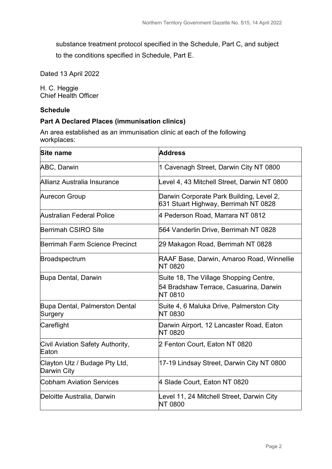substance treatment protocol specified in the Schedule, Part C, and subject

to the conditions specified in Schedule, Part E.

Dated 13 April 2022

H. C. Heggie Chief Health Officer

#### **Schedule**

#### **Part A Declared Places (immunisation clinics)**

An area established as an immunisation clinic at each of the following workplaces:

| Site name                                    | <b>Address</b>                                                                                     |  |
|----------------------------------------------|----------------------------------------------------------------------------------------------------|--|
| <b>ABC, Darwin</b>                           | 1 Cavenagh Street, Darwin City NT 0800                                                             |  |
| Allianz Australia Insurance                  | Level 4, 43 Mitchell Street, Darwin NT 0800                                                        |  |
| Aurecon Group                                | Darwin Corporate Park Building, Level 2,<br>631 Stuart Highway, Berrimah NT 0828                   |  |
| Australian Federal Police                    | 4 Pederson Road, Marrara NT 0812                                                                   |  |
| Berrimah CSIRO Site                          | 564 Vanderlin Drive, Berrimah NT 0828                                                              |  |
| Berrimah Farm Science Precinct               | 29 Makagon Road, Berrimah NT 0828                                                                  |  |
| Broadspectrum                                | RAAF Base, Darwin, Amaroo Road, Winnellie<br><b>NT 0820</b>                                        |  |
| Bupa Dental, Darwin                          | Suite 18, The Village Shopping Centre,<br>54 Bradshaw Terrace, Casuarina, Darwin<br><b>NT 0810</b> |  |
| Bupa Dental, Palmerston Dental<br>Surgery    | Suite 4, 6 Maluka Drive, Palmerston City<br><b>NT 0830</b>                                         |  |
| Careflight                                   | Darwin Airport, 12 Lancaster Road, Eaton<br><b>NT 0820</b>                                         |  |
| Civil Aviation Safety Authority,<br>Eaton    | 2 Fenton Court, Eaton NT 0820                                                                      |  |
| Clayton Utz / Budage Pty Ltd,<br>Darwin City | 17-19 Lindsay Street, Darwin City NT 0800                                                          |  |
| <b>Cobham Aviation Services</b>              | 4 Slade Court, Eaton NT 0820                                                                       |  |
| Deloitte Australia, Darwin                   | Level 11, 24 Mitchell Street, Darwin City<br><b>NT 0800</b>                                        |  |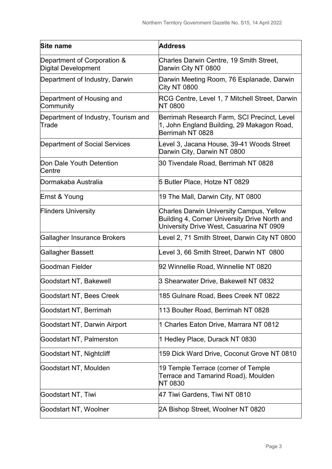| Site name                                          | <b>Address</b>                                                                                                                               |  |
|----------------------------------------------------|----------------------------------------------------------------------------------------------------------------------------------------------|--|
| Department of Corporation &<br>Digital Development | Charles Darwin Centre, 19 Smith Street,<br>Darwin City NT 0800                                                                               |  |
| Department of Industry, Darwin                     | Darwin Meeting Room, 76 Esplanade, Darwin<br>City NT 0800                                                                                    |  |
| Department of Housing and<br>Community             | RCG Centre, Level 1, 7 Mitchell Street, Darwin<br><b>NT 0800</b>                                                                             |  |
| Department of Industry, Tourism and<br>Trade       | Berrimah Research Farm, SCI Precinct, Level<br>1, John England Building, 29 Makagon Road,<br>Berrimah NT 0828                                |  |
| <b>Department of Social Services</b>               | Level 3, Jacana House, 39-41 Woods Street<br>Darwin City, Darwin NT 0800                                                                     |  |
| Don Dale Youth Detention<br>Centre                 | 30 Tivendale Road, Berrimah NT 0828                                                                                                          |  |
| Dormakaba Australia                                | 5 Butler Place, Hotze NT 0829                                                                                                                |  |
| Ernst & Young                                      | 19 The Mall, Darwin City, NT 0800                                                                                                            |  |
| <b>Flinders University</b>                         | <b>Charles Darwin University Campus, Yellow</b><br>Building 4, Corner University Drive North and<br>University Drive West, Casuarina NT 0909 |  |
| Gallagher Insurance Brokers                        | Level 2, 71 Smith Street, Darwin City NT 0800                                                                                                |  |
| Gallagher Bassett                                  | Level 3, 66 Smith Street, Darwin NT 0800                                                                                                     |  |
| lGoodman Fielder                                   | 92 Winnellie Road, Winnellie NT 0820                                                                                                         |  |
| Goodstart NT, Bakewell                             | 3 Shearwater Drive, Bakewell NT 0832                                                                                                         |  |
| Goodstart NT, Bees Creek                           | 185 Gulnare Road, Bees Creek NT 0822                                                                                                         |  |
| Goodstart NT, Berrimah                             | 113 Boulter Road, Berrimah NT 0828                                                                                                           |  |
| Goodstart NT, Darwin Airport                       | 1 Charles Eaton Drive, Marrara NT 0812                                                                                                       |  |
| Goodstart NT, Palmerston                           | 1 Hedley Place, Durack NT 0830                                                                                                               |  |
| Goodstart NT, Nightcliff                           | 159 Dick Ward Drive, Coconut Grove NT 0810                                                                                                   |  |
| Goodstart NT, Moulden                              | 19 Temple Terrace (corner of Temple<br>Terrace and Tamarind Road), Moulden<br>NT 0830                                                        |  |
| Goodstart NT, Tiwi                                 | 47 Tiwi Gardens, Tiwi NT 0810                                                                                                                |  |
| Goodstart NT, Woolner                              | 2A Bishop Street, Woolner NT 0820                                                                                                            |  |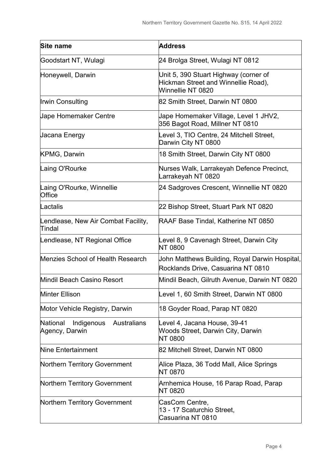| <b>Site name</b>                                               | <b>Address</b>                                                                                    |  |  |
|----------------------------------------------------------------|---------------------------------------------------------------------------------------------------|--|--|
| Goodstart NT, Wulagi                                           | 24 Brolga Street, Wulagi NT 0812                                                                  |  |  |
| Honeywell, Darwin                                              | Unit 5, 390 Stuart Highway (corner of<br>Hickman Street and Winnellie Road),<br>Winnellie NT 0820 |  |  |
| Irwin Consulting                                               | 82 Smith Street, Darwin NT 0800                                                                   |  |  |
| <b>Jape Homemaker Centre</b>                                   | Jape Homemaker Village, Level 1 JHV2,<br>356 Bagot Road, Millner NT 0810                          |  |  |
| <b>Jacana Energy</b>                                           | Level 3, TIO Centre, 24 Mitchell Street,<br>Darwin City NT 0800                                   |  |  |
| <b>KPMG, Darwin</b>                                            | 18 Smith Street, Darwin City NT 0800                                                              |  |  |
| Laing O'Rourke                                                 | Nurses Walk, Larrakeyah Defence Precinct,<br>Larrakeyah NT 0820                                   |  |  |
| Laing O'Rourke, Winnellie<br><b>Office</b>                     | 24 Sadgroves Crescent, Winnellie NT 0820                                                          |  |  |
| Lactalis                                                       | 22 Bishop Street, Stuart Park NT 0820                                                             |  |  |
| Lendlease, New Air Combat Facility,<br>Tindal                  | RAAF Base Tindal, Katherine NT 0850                                                               |  |  |
| Lendlease, NT Regional Office                                  | Level 8, 9 Cavenagh Street, Darwin City<br><b>NT 0800</b>                                         |  |  |
| Menzies School of Health Research                              | John Matthews Building, Royal Darwin Hospital,<br>Rocklands Drive, Casuarina NT 0810              |  |  |
| Mindil Beach Casino Resort                                     | Mindil Beach, Gilruth Avenue, Darwin NT 0820                                                      |  |  |
| Minter Ellison                                                 | Level 1, 60 Smith Street, Darwin NT 0800                                                          |  |  |
| Motor Vehicle Registry, Darwin                                 | 18 Goyder Road, Parap NT 0820                                                                     |  |  |
| National<br>Indigenous<br><b>Australians</b><br>Agency, Darwin | Level 4, Jacana House, 39-41<br><b>Woods Street, Darwin City, Darwin</b><br><b>NT 0800</b>        |  |  |
| Nine Entertainment                                             | 82 Mitchell Street, Darwin NT 0800                                                                |  |  |
| Northern Territory Government                                  | Alice Plaza, 36 Todd Mall, Alice Springs<br><b>NT 0870</b>                                        |  |  |
| Northern Territory Government                                  | Arnhemica House, 16 Parap Road, Parap<br><b>NT 0820</b>                                           |  |  |
| Northern Territory Government                                  | CasCom Centre,<br>13 - 17 Scaturchio Street,<br>Casuarina NT 0810                                 |  |  |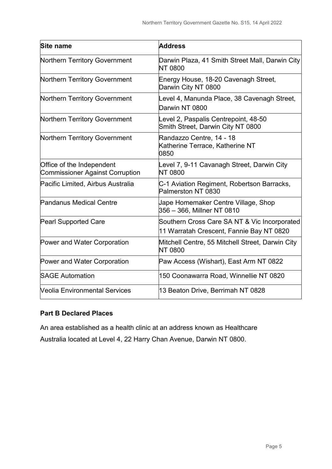| Site name                                                           | <b>Address</b>                                                                           |  |
|---------------------------------------------------------------------|------------------------------------------------------------------------------------------|--|
| Northern Territory Government                                       | Darwin Plaza, 41 Smith Street Mall, Darwin City<br><b>NT 0800</b>                        |  |
| Northern Territory Government                                       | Energy House, 18-20 Cavenagh Street,<br>Darwin City NT 0800                              |  |
| Northern Territory Government                                       | Level 4, Manunda Place, 38 Cavenagh Street,<br>Darwin NT 0800                            |  |
| Northern Territory Government                                       | Level 2, Paspalis Centrepoint, 48-50<br>Smith Street, Darwin City NT 0800                |  |
| Northern Territory Government                                       | Randazzo Centre, 14 - 18<br>Katherine Terrace, Katherine NT<br>0850                      |  |
| Office of the Independent<br><b>Commissioner Against Corruption</b> | Level 7, 9-11 Cavanagh Street, Darwin City<br><b>NT 0800</b>                             |  |
| Pacific Limited, Airbus Australia                                   | C-1 Aviation Regiment, Robertson Barracks,<br>Palmerston NT 0830                         |  |
| <b>Pandanus Medical Centre</b>                                      | Jape Homemaker Centre Village, Shop<br>356 – 366, Millner NT 0810                        |  |
| <b>Pearl Supported Care</b>                                         | Southern Cross Care SA NT & Vic Incorporated<br>11 Warratah Crescent, Fannie Bay NT 0820 |  |
| Power and Water Corporation                                         | Mitchell Centre, 55 Mitchell Street, Darwin City<br><b>NT 0800</b>                       |  |
| Power and Water Corporation                                         | Paw Access (Wishart), East Arm NT 0822                                                   |  |
| <b>SAGE Automation</b>                                              | 150 Coonawarra Road, Winnellie NT 0820                                                   |  |
| <b>Veolia Environmental Services</b>                                | 13 Beaton Drive, Berrimah NT 0828                                                        |  |

### **Part B Declared Places**

An area established as a health clinic at an address known as Healthcare Australia located at Level 4, 22 Harry Chan Avenue, Darwin NT 0800.